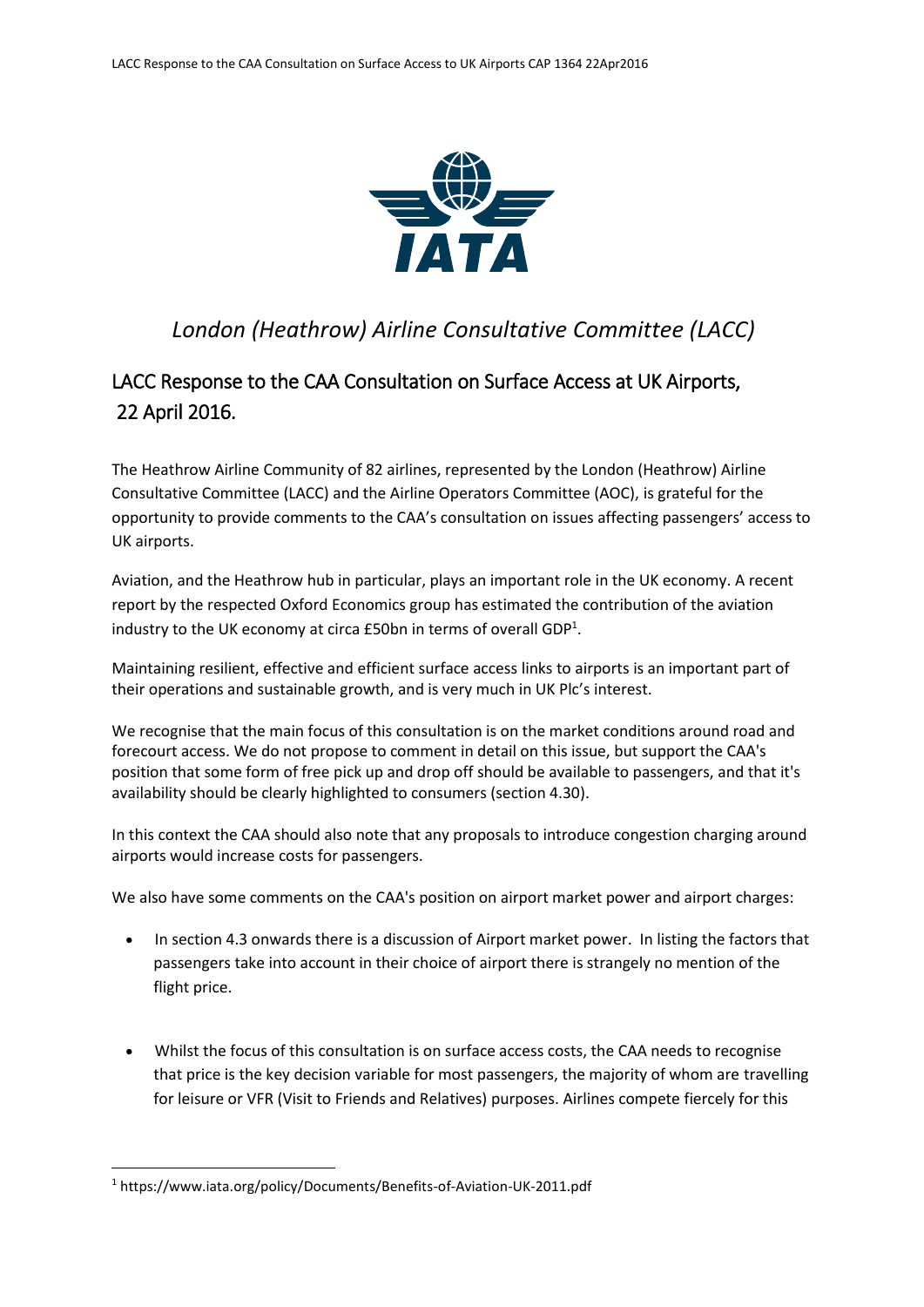

## *London (Heathrow) Airline Consultative Committee (LACC)*

## LACC Response to the CAA Consultation on Surface Access at UK Airports, 22 April 2016.

The Heathrow Airline Community of 82 airlines, represented by the London (Heathrow) Airline Consultative Committee (LACC) and the Airline Operators Committee (AOC), is grateful for the opportunity to provide comments to the CAA's consultation on issues affecting passengers' access to UK airports.

Aviation, and the Heathrow hub in particular, plays an important role in the UK economy. A recent report by the respected Oxford Economics group has estimated the contribution of the aviation industry to the UK economy at circa  $E$ 50bn in terms of overall GDP<sup>1</sup>.

Maintaining resilient, effective and efficient surface access links to airports is an important part of their operations and sustainable growth, and is very much in UK Plc's interest.

We recognise that the main focus of this consultation is on the market conditions around road and forecourt access. We do not propose to comment in detail on this issue, but support the CAA's position that some form of free pick up and drop off should be available to passengers, and that it's availability should be clearly highlighted to consumers (section 4.30).

In this context the CAA should also note that any proposals to introduce congestion charging around airports would increase costs for passengers.

We also have some comments on the CAA's position on airport market power and airport charges:

- In section 4.3 onwards there is a discussion of Airport market power. In listing the factors that passengers take into account in their choice of airport there is strangely no mention of the flight price.
- Whilst the focus of this consultation is on surface access costs, the CAA needs to recognise that price is the key decision variable for most passengers, the majority of whom are travelling for leisure or VFR (Visit to Friends and Relatives) purposes. Airlines compete fiercely for this

**.** 

<sup>1</sup> https://www.iata.org/policy/Documents/Benefits-of-Aviation-UK-2011.pdf